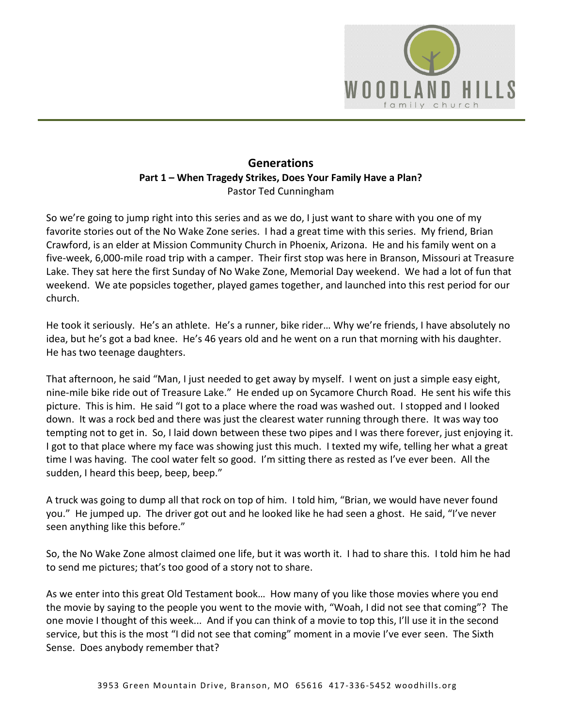

## **Generations Part 1 – When Tragedy Strikes, Does Your Family Have a Plan?**  Pastor Ted Cunningham

So we're going to jump right into this series and as we do, I just want to share with you one of my favorite stories out of the No Wake Zone series. I had a great time with this series. My friend, Brian Crawford, is an elder at Mission Community Church in Phoenix, Arizona. He and his family went on a five-week, 6,000-mile road trip with a camper. Their first stop was here in Branson, Missouri at Treasure Lake. They sat here the first Sunday of No Wake Zone, Memorial Day weekend. We had a lot of fun that weekend. We ate popsicles together, played games together, and launched into this rest period for our church.

He took it seriously. He's an athlete. He's a runner, bike rider… Why we're friends, I have absolutely no idea, but he's got a bad knee. He's 46 years old and he went on a run that morning with his daughter. He has two teenage daughters.

That afternoon, he said "Man, I just needed to get away by myself. I went on just a simple easy eight, nine-mile bike ride out of Treasure Lake." He ended up on Sycamore Church Road. He sent his wife this picture. This is him. He said "I got to a place where the road was washed out. I stopped and I looked down. It was a rock bed and there was just the clearest water running through there. It was way too tempting not to get in. So, I laid down between these two pipes and I was there forever, just enjoying it. I got to that place where my face was showing just this much. I texted my wife, telling her what a great time I was having. The cool water felt so good. I'm sitting there as rested as I've ever been. All the sudden, I heard this beep, beep, beep."

A truck was going to dump all that rock on top of him. I told him, "Brian, we would have never found you." He jumped up. The driver got out and he looked like he had seen a ghost. He said, "I've never seen anything like this before."

So, the No Wake Zone almost claimed one life, but it was worth it. I had to share this. I told him he had to send me pictures; that's too good of a story not to share.

As we enter into this great Old Testament book… How many of you like those movies where you end the movie by saying to the people you went to the movie with, "Woah, I did not see that coming"? The one movie I thought of this week... And if you can think of a movie to top this, I'll use it in the second service, but this is the most "I did not see that coming" moment in a movie I've ever seen. The Sixth Sense. Does anybody remember that?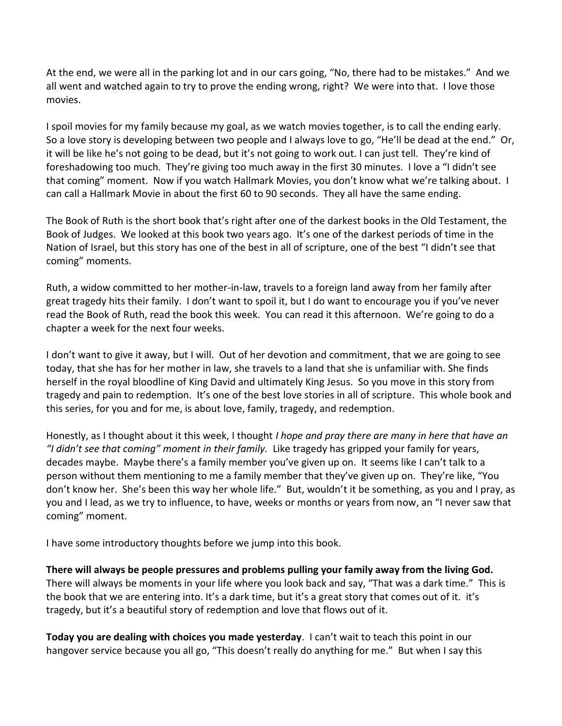At the end, we were all in the parking lot and in our cars going, "No, there had to be mistakes." And we all went and watched again to try to prove the ending wrong, right? We were into that. I love those movies.

I spoil movies for my family because my goal, as we watch movies together, is to call the ending early. So a love story is developing between two people and I always love to go, "He'll be dead at the end." Or, it will be like he's not going to be dead, but it's not going to work out. I can just tell. They're kind of foreshadowing too much. They're giving too much away in the first 30 minutes. I love a "I didn't see that coming" moment. Now if you watch Hallmark Movies, you don't know what we're talking about. I can call a Hallmark Movie in about the first 60 to 90 seconds. They all have the same ending.

The Book of Ruth is the short book that's right after one of the darkest books in the Old Testament, the Book of Judges. We looked at this book two years ago. It's one of the darkest periods of time in the Nation of Israel, but this story has one of the best in all of scripture, one of the best "I didn't see that coming" moments.

Ruth, a widow committed to her mother-in-law, travels to a foreign land away from her family after great tragedy hits their family. I don't want to spoil it, but I do want to encourage you if you've never read the Book of Ruth, read the book this week. You can read it this afternoon. We're going to do a chapter a week for the next four weeks.

I don't want to give it away, but I will. Out of her devotion and commitment, that we are going to see today, that she has for her mother in law, she travels to a land that she is unfamiliar with. She finds herself in the royal bloodline of King David and ultimately King Jesus. So you move in this story from tragedy and pain to redemption. It's one of the best love stories in all of scripture. This whole book and this series, for you and for me, is about love, family, tragedy, and redemption.

Honestly, as I thought about it this week, I thought *I hope and pray there are many in here that have an "I didn't see that coming" moment in their family.* Like tragedy has gripped your family for years, decades maybe. Maybe there's a family member you've given up on. It seems like I can't talk to a person without them mentioning to me a family member that they've given up on. They're like, "You don't know her. She's been this way her whole life." But, wouldn't it be something, as you and I pray, as you and I lead, as we try to influence, to have, weeks or months or years from now, an "I never saw that coming" moment.

I have some introductory thoughts before we jump into this book.

**There will always be people pressures and problems pulling your family away from the living God.** There will always be moments in your life where you look back and say, "That was a dark time." This is the book that we are entering into. It's a dark time, but it's a great story that comes out of it. it's tragedy, but it's a beautiful story of redemption and love that flows out of it.

**Today you are dealing with choices you made yesterday**. I can't wait to teach this point in our hangover service because you all go, "This doesn't really do anything for me." But when I say this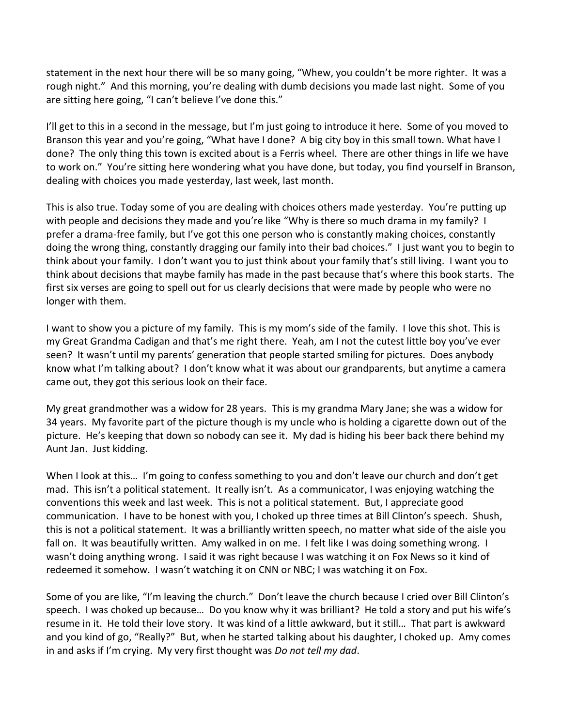statement in the next hour there will be so many going, "Whew, you couldn't be more righter. It was a rough night." And this morning, you're dealing with dumb decisions you made last night. Some of you are sitting here going, "I can't believe I've done this."

I'll get to this in a second in the message, but I'm just going to introduce it here. Some of you moved to Branson this year and you're going, "What have I done? A big city boy in this small town. What have I done? The only thing this town is excited about is a Ferris wheel. There are other things in life we have to work on." You're sitting here wondering what you have done, but today, you find yourself in Branson, dealing with choices you made yesterday, last week, last month.

This is also true. Today some of you are dealing with choices others made yesterday. You're putting up with people and decisions they made and you're like "Why is there so much drama in my family? I prefer a drama-free family, but I've got this one person who is constantly making choices, constantly doing the wrong thing, constantly dragging our family into their bad choices." I just want you to begin to think about your family. I don't want you to just think about your family that's still living. I want you to think about decisions that maybe family has made in the past because that's where this book starts. The first six verses are going to spell out for us clearly decisions that were made by people who were no longer with them.

I want to show you a picture of my family. This is my mom's side of the family. I love this shot. This is my Great Grandma Cadigan and that's me right there. Yeah, am I not the cutest little boy you've ever seen? It wasn't until my parents' generation that people started smiling for pictures. Does anybody know what I'm talking about? I don't know what it was about our grandparents, but anytime a camera came out, they got this serious look on their face.

My great grandmother was a widow for 28 years. This is my grandma Mary Jane; she was a widow for 34 years. My favorite part of the picture though is my uncle who is holding a cigarette down out of the picture. He's keeping that down so nobody can see it. My dad is hiding his beer back there behind my Aunt Jan. Just kidding.

When I look at this... I'm going to confess something to you and don't leave our church and don't get mad. This isn't a political statement. It really isn't. As a communicator, I was enjoying watching the conventions this week and last week. This is not a political statement. But, I appreciate good communication. I have to be honest with you, I choked up three times at Bill Clinton's speech. Shush, this is not a political statement. It was a brilliantly written speech, no matter what side of the aisle you fall on. It was beautifully written. Amy walked in on me. I felt like I was doing something wrong. I wasn't doing anything wrong. I said it was right because I was watching it on Fox News so it kind of redeemed it somehow. I wasn't watching it on CNN or NBC; I was watching it on Fox.

Some of you are like, "I'm leaving the church." Don't leave the church because I cried over Bill Clinton's speech. I was choked up because… Do you know why it was brilliant? He told a story and put his wife's resume in it. He told their love story. It was kind of a little awkward, but it still… That part is awkward and you kind of go, "Really?" But, when he started talking about his daughter, I choked up. Amy comes in and asks if I'm crying. My very first thought was *Do not tell my dad*.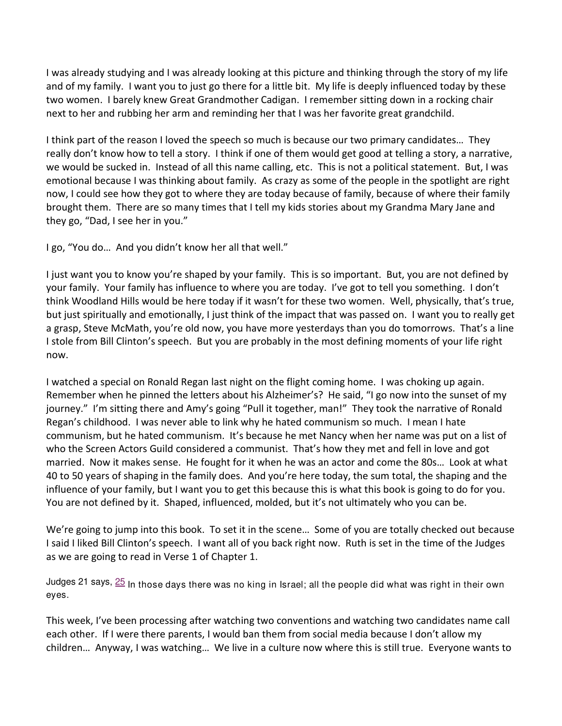I was already studying and I was already looking at this picture and thinking through the story of my life and of my family. I want you to just go there for a little bit. My life is deeply influenced today by these two women. I barely knew Great Grandmother Cadigan. I remember sitting down in a rocking chair next to her and rubbing her arm and reminding her that I was her favorite great grandchild.

I think part of the reason I loved the speech so much is because our two primary candidates… They really don't know how to tell a story. I think if one of them would get good at telling a story, a narrative, we would be sucked in. Instead of all this name calling, etc. This is not a political statement. But, I was emotional because I was thinking about family. As crazy as some of the people in the spotlight are right now, I could see how they got to where they are today because of family, because of where their family brought them. There are so many times that I tell my kids stories about my Grandma Mary Jane and they go, "Dad, I see her in you."

I go, "You do… And you didn't know her all that well."

I just want you to know you're shaped by your family. This is so important. But, you are not defined by your family. Your family has influence to where you are today. I've got to tell you something. I don't think Woodland Hills would be here today if it wasn't for these two women. Well, physically, that's true, but just spiritually and emotionally, I just think of the impact that was passed on. I want you to really get a grasp, Steve McMath, you're old now, you have more yesterdays than you do tomorrows. That's a line I stole from Bill Clinton's speech. But you are probably in the most defining moments of your life right now.

I watched a special on Ronald Regan last night on the flight coming home. I was choking up again. Remember when he pinned the letters about his Alzheimer's? He said, "I go now into the sunset of my journey." I'm sitting there and Amy's going "Pull it together, man!" They took the narrative of Ronald Regan's childhood. I was never able to link why he hated communism so much. I mean I hate communism, but he hated communism. It's because he met Nancy when her name was put on a list of who the Screen Actors Guild considered a communist. That's how they met and fell in love and got married. Now it makes sense. He fought for it when he was an actor and come the 80s… Look at what 40 to 50 years of shaping in the family does. And you're here today, the sum total, the shaping and the influence of your family, but I want you to get this because this is what this book is going to do for you. You are not defined by it. Shaped, influenced, molded, but it's not ultimately who you can be.

We're going to jump into this book. To set it in the scene… Some of you are totally checked out because I said I liked Bill Clinton's speech. I want all of you back right now. Ruth is set in the time of the Judges as we are going to read in Verse 1 of Chapter 1.

Judges 21 says,  $25$  In those days there was no king in Israel; all the people did what was right in their own eyes.

This week, I've been processing after watching two conventions and watching two candidates name call each other. If I were there parents, I would ban them from social media because I don't allow my children… Anyway, I was watching… We live in a culture now where this is still true. Everyone wants to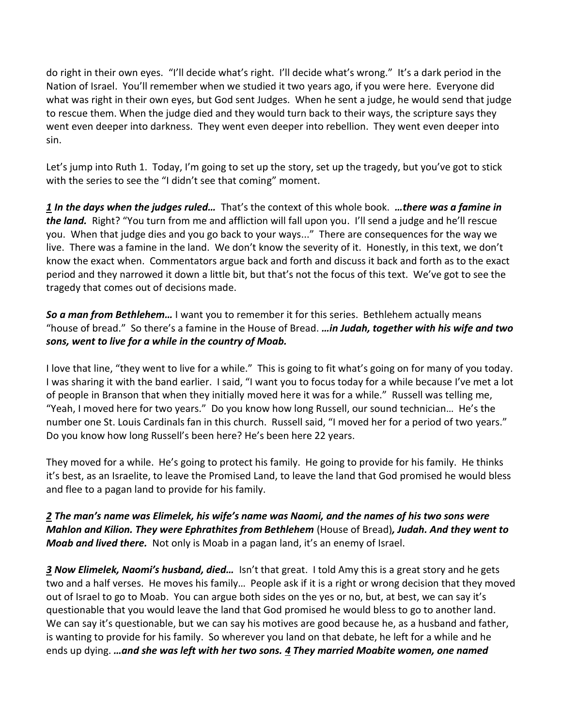do right in their own eyes. "I'll decide what's right. I'll decide what's wrong." It's a dark period in the Nation of Israel. You'll remember when we studied it two years ago, if you were here. Everyone did what was right in their own eyes, but God sent Judges. When he sent a judge, he would send that judge to rescue them. When the judge died and they would turn back to their ways, the scripture says they went even deeper into darkness. They went even deeper into rebellion. They went even deeper into sin.

Let's jump into Ruth 1. Today, I'm going to set up the story, set up the tragedy, but you've got to stick with the series to see the "I didn't see that coming" moment.

*[1](http://www.studylight.org/desk/?q=ru%201:1&t1=en_niv&sr=1) In the days when the judges ruled…* That's the context of this whole book. *…there was a famine in the land.* Right? "You turn from me and affliction will fall upon you. I'll send a judge and he'll rescue you. When that judge dies and you go back to your ways..." There are consequences for the way we live. There was a famine in the land. We don't know the severity of it. Honestly, in this text, we don't know the exact when. Commentators argue back and forth and discuss it back and forth as to the exact period and they narrowed it down a little bit, but that's not the focus of this text. We've got to see the tragedy that comes out of decisions made.

*So a man from Bethlehem…* I want you to remember it for this series. Bethlehem actually means "house of bread." So there's a famine in the House of Bread. *…in Judah, together with his wife and two sons, went to live for a while in the country of Moab.* 

I love that line, "they went to live for a while." This is going to fit what's going on for many of you today. I was sharing it with the band earlier. I said, "I want you to focus today for a while because I've met a lot of people in Branson that when they initially moved here it was for a while." Russell was telling me, "Yeah, I moved here for two years." Do you know how long Russell, our sound technician… He's the number one St. Louis Cardinals fan in this church. Russell said, "I moved her for a period of two years." Do you know how long Russell's been here? He's been here 22 years.

They moved for a while. He's going to protect his family. He going to provide for his family. He thinks it's best, as an Israelite, to leave the Promised Land, to leave the land that God promised he would bless and flee to a pagan land to provide for his family.

## *[2](http://www.studylight.org/desk/?q=ru%201:2&t1=en_niv&sr=1) The man's name was Elimelek, his wife's name was Naomi, and the names of his two sons were Mahlon and Kilion. They were Ephrathites from Bethlehem* (House of Bread)*, Judah. And they went to Moab and lived there.* Not only is Moab in a pagan land, it's an enemy of Israel.

*[3](http://www.studylight.org/desk/?q=ru%201:3&t1=en_niv&sr=1) Now Elimelek, Naomi's husband, died…* Isn't that great. I told Amy this is a great story and he gets two and a half verses. He moves his family… People ask if it is a right or wrong decision that they moved out of Israel to go to Moab. You can argue both sides on the yes or no, but, at best, we can say it's questionable that you would leave the land that God promised he would bless to go to another land. We can say it's questionable, but we can say his motives are good because he, as a husband and father, is wanting to provide for his family. So wherever you land on that debate, he left for a while and he ends up dying. *…and she was left with her two sons. [4](http://www.studylight.org/desk/?q=ru%201:4&t1=en_niv&sr=1) They married Moabite women, one named*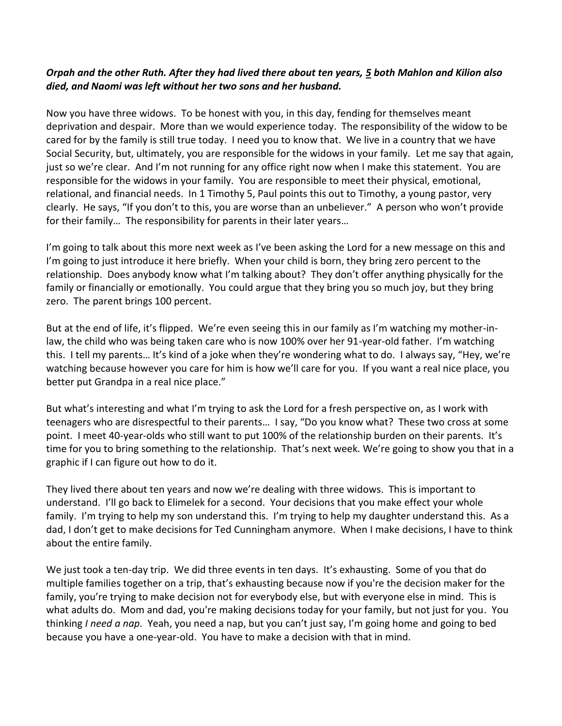## *Orpah and the other Ruth. After they had lived there about ten years, [5](http://www.studylight.org/desk/?q=ru%201:5&t1=en_niv&sr=1) both Mahlon and Kilion also died, and Naomi was left without her two sons and her husband.*

Now you have three widows. To be honest with you, in this day, fending for themselves meant deprivation and despair. More than we would experience today. The responsibility of the widow to be cared for by the family is still true today. I need you to know that. We live in a country that we have Social Security, but, ultimately, you are responsible for the widows in your family. Let me say that again, just so we're clear. And I'm not running for any office right now when I make this statement. You are responsible for the widows in your family. You are responsible to meet their physical, emotional, relational, and financial needs. In 1 Timothy 5, Paul points this out to Timothy, a young pastor, very clearly. He says, "If you don't to this, you are worse than an unbeliever." A person who won't provide for their family… The responsibility for parents in their later years…

I'm going to talk about this more next week as I've been asking the Lord for a new message on this and I'm going to just introduce it here briefly. When your child is born, they bring zero percent to the relationship. Does anybody know what I'm talking about? They don't offer anything physically for the family or financially or emotionally. You could argue that they bring you so much joy, but they bring zero. The parent brings 100 percent.

But at the end of life, it's flipped. We're even seeing this in our family as I'm watching my mother-inlaw, the child who was being taken care who is now 100% over her 91-year-old father. I'm watching this. I tell my parents… It's kind of a joke when they're wondering what to do. I always say, "Hey, we're watching because however you care for him is how we'll care for you. If you want a real nice place, you better put Grandpa in a real nice place."

But what's interesting and what I'm trying to ask the Lord for a fresh perspective on, as I work with teenagers who are disrespectful to their parents… I say, "Do you know what? These two cross at some point. I meet 40-year-olds who still want to put 100% of the relationship burden on their parents. It's time for you to bring something to the relationship. That's next week. We're going to show you that in a graphic if I can figure out how to do it.

They lived there about ten years and now we're dealing with three widows. This is important to understand. I'll go back to Elimelek for a second. Your decisions that you make effect your whole family. I'm trying to help my son understand this. I'm trying to help my daughter understand this. As a dad, I don't get to make decisions for Ted Cunningham anymore. When I make decisions, I have to think about the entire family.

We just took a ten-day trip. We did three events in ten days. It's exhausting. Some of you that do multiple families together on a trip, that's exhausting because now if you're the decision maker for the family, you're trying to make decision not for everybody else, but with everyone else in mind. This is what adults do. Mom and dad, you're making decisions today for your family, but not just for you. You thinking *I need a nap*. Yeah, you need a nap, but you can't just say, I'm going home and going to bed because you have a one-year-old. You have to make a decision with that in mind.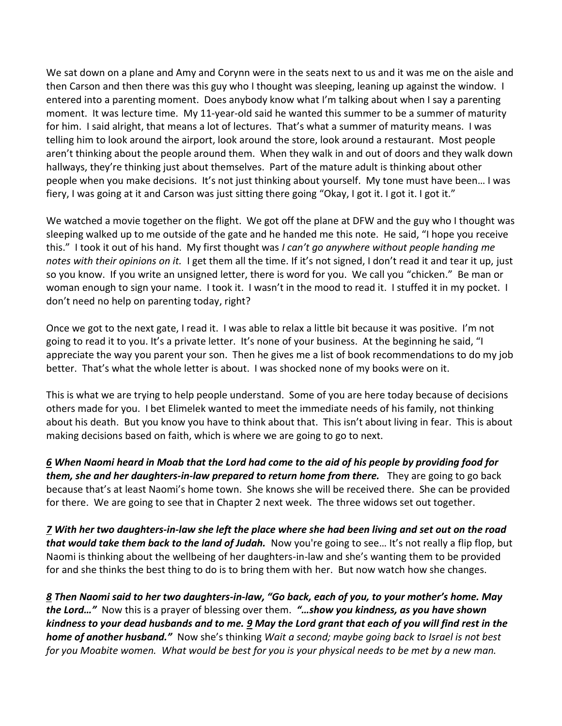We sat down on a plane and Amy and Corynn were in the seats next to us and it was me on the aisle and then Carson and then there was this guy who I thought was sleeping, leaning up against the window. I entered into a parenting moment. Does anybody know what I'm talking about when I say a parenting moment. It was lecture time. My 11-year-old said he wanted this summer to be a summer of maturity for him. I said alright, that means a lot of lectures. That's what a summer of maturity means. I was telling him to look around the airport, look around the store, look around a restaurant. Most people aren't thinking about the people around them. When they walk in and out of doors and they walk down hallways, they're thinking just about themselves. Part of the mature adult is thinking about other people when you make decisions. It's not just thinking about yourself. My tone must have been… I was fiery, I was going at it and Carson was just sitting there going "Okay, I got it. I got it. I got it."

We watched a movie together on the flight. We got off the plane at DFW and the guy who I thought was sleeping walked up to me outside of the gate and he handed me this note. He said, "I hope you receive this." I took it out of his hand. My first thought was *I can't go anywhere without people handing me notes with their opinions on it.* I get them all the time. If it's not signed, I don't read it and tear it up, just so you know. If you write an unsigned letter, there is word for you. We call you "chicken." Be man or woman enough to sign your name. I took it. I wasn't in the mood to read it. I stuffed it in my pocket. I don't need no help on parenting today, right?

Once we got to the next gate, I read it. I was able to relax a little bit because it was positive. I'm not going to read it to you. It's a private letter. It's none of your business. At the beginning he said, "I appreciate the way you parent your son. Then he gives me a list of book recommendations to do my job better. That's what the whole letter is about. I was shocked none of my books were on it.

This is what we are trying to help people understand. Some of you are here today because of decisions others made for you. I bet Elimelek wanted to meet the immediate needs of his family, not thinking about his death. But you know you have to think about that. This isn't about living in fear. This is about making decisions based on faith, which is where we are going to go to next.

*[6](http://www.studylight.org/desk/?q=ru%201:6&t1=en_niv&sr=1) When Naomi heard in Moab that the Lord had come to the aid of his people by providing food for them, she and her daughters-in-law prepared to return home from there.* They are going to go back because that's at least Naomi's home town. She knows she will be received there. She can be provided for there. We are going to see that in Chapter 2 next week. The three widows set out together.

*[7](http://www.studylight.org/desk/?q=ru%201:7&t1=en_niv&sr=1) With her two daughters-in-law she left the place where she had been living and set out on the road that would take them back to the land of Judah.* Now you're going to see… It's not really a flip flop, but Naomi is thinking about the wellbeing of her daughters-in-law and she's wanting them to be provided for and she thinks the best thing to do is to bring them with her. But now watch how she changes.

*[8](http://www.studylight.org/desk/?q=ru%201:8&t1=en_niv&sr=1) Then Naomi said to her two daughters-in-law, "Go back, each of you, to your mother's home. May the Lord…"* Now this is a prayer of blessing over them. *"…show you kindness, as you have shown kindness to your dead husbands and to me. [9](http://www.studylight.org/desk/?q=ru%201:9&t1=en_niv&sr=1) May the Lord grant that each of you will find rest in the home of another husband."* Now she's thinking *Wait a second; maybe going back to Israel is not best for you Moabite women. What would be best for you is your physical needs to be met by a new man.*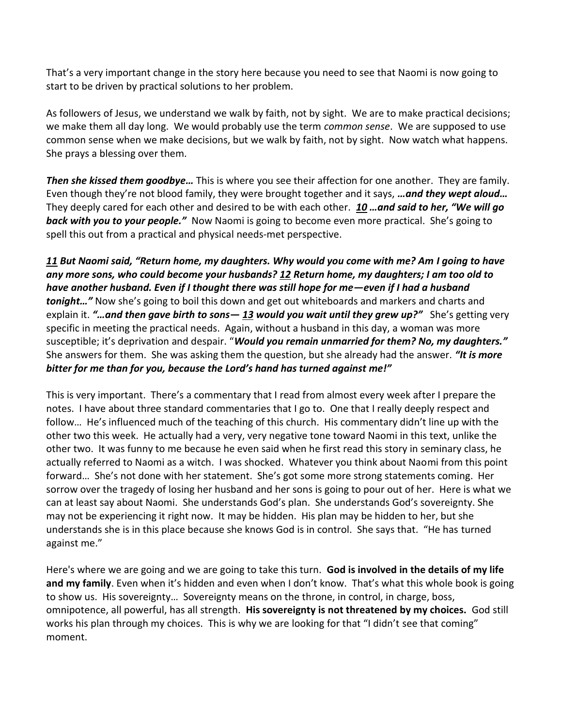That's a very important change in the story here because you need to see that Naomi is now going to start to be driven by practical solutions to her problem.

As followers of Jesus, we understand we walk by faith, not by sight. We are to make practical decisions; we make them all day long. We would probably use the term *common sense*. We are supposed to use common sense when we make decisions, but we walk by faith, not by sight. Now watch what happens. She prays a blessing over them.

*Then she kissed them goodbye…* This is where you see their affection for one another. They are family. Even though they're not blood family, they were brought together and it says, *…and they wept aloud…*  They deeply cared for each other and desired to be with each other. *[10](http://www.studylight.org/desk/?q=ru%201:10&t1=en_niv&sr=1) …and said to her, "We will go back with you to your people."* Now Naomi is going to become even more practical. She's going to spell this out from a practical and physical needs-met perspective.

*[11](http://www.studylight.org/desk/?q=ru%201:11&t1=en_niv&sr=1) But Naomi said, "Return home, my daughters. Why would you come with me? Am I going to have any more sons, who could become your husbands[? 12](http://www.studylight.org/desk/?q=ru%201:12&t1=en_niv&sr=1) Return home, my daughters; I am too old to have another husband. Even if I thought there was still hope for me—even if I had a husband tonight…"* Now she's going to boil this down and get out whiteboards and markers and charts and explain it. *"…and then gave birth to sons— [13](http://www.studylight.org/desk/?q=ru%201:13&t1=en_niv&sr=1) would you wait until they grew up?"* She's getting very specific in meeting the practical needs. Again, without a husband in this day, a woman was more susceptible; it's deprivation and despair. "*Would you remain unmarried for them? No, my daughters."* She answers for them. She was asking them the question, but she already had the answer. *"It is more bitter for me than for you, because the Lord's hand has turned against me!"*

This is very important. There's a commentary that I read from almost every week after I prepare the notes. I have about three standard commentaries that I go to. One that I really deeply respect and follow… He's influenced much of the teaching of this church. His commentary didn't line up with the other two this week. He actually had a very, very negative tone toward Naomi in this text, unlike the other two. It was funny to me because he even said when he first read this story in seminary class, he actually referred to Naomi as a witch. I was shocked. Whatever you think about Naomi from this point forward… She's not done with her statement. She's got some more strong statements coming. Her sorrow over the tragedy of losing her husband and her sons is going to pour out of her. Here is what we can at least say about Naomi. She understands God's plan. She understands God's sovereignty. She may not be experiencing it right now. It may be hidden. His plan may be hidden to her, but she understands she is in this place because she knows God is in control. She says that. "He has turned against me."

Here's where we are going and we are going to take this turn. **God is involved in the details of my life and my family**. Even when it's hidden and even when I don't know. That's what this whole book is going to show us. His sovereignty… Sovereignty means on the throne, in control, in charge, boss, omnipotence, all powerful, has all strength. **His sovereignty is not threatened by my choices.** God still works his plan through my choices. This is why we are looking for that "I didn't see that coming" moment.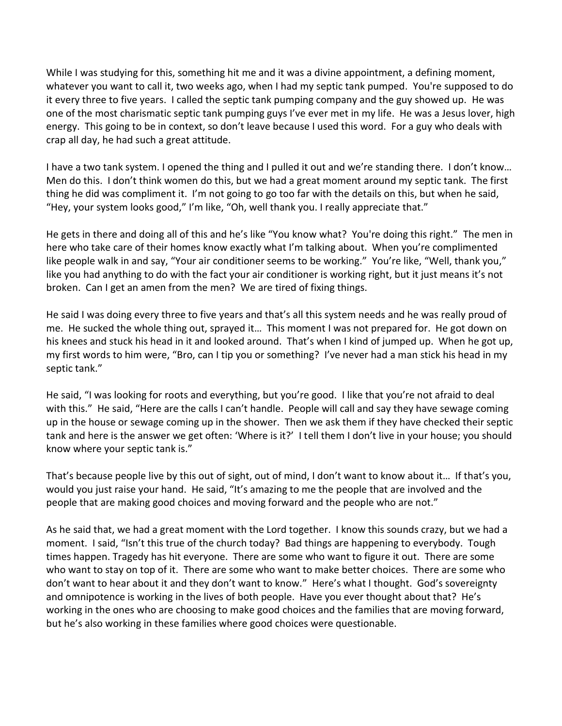While I was studying for this, something hit me and it was a divine appointment, a defining moment, whatever you want to call it, two weeks ago, when I had my septic tank pumped. You're supposed to do it every three to five years. I called the septic tank pumping company and the guy showed up. He was one of the most charismatic septic tank pumping guys I've ever met in my life. He was a Jesus lover, high energy. This going to be in context, so don't leave because I used this word. For a guy who deals with crap all day, he had such a great attitude.

I have a two tank system. I opened the thing and I pulled it out and we're standing there. I don't know… Men do this. I don't think women do this, but we had a great moment around my septic tank. The first thing he did was compliment it. I'm not going to go too far with the details on this, but when he said, "Hey, your system looks good," I'm like, "Oh, well thank you. I really appreciate that."

He gets in there and doing all of this and he's like "You know what? You're doing this right." The men in here who take care of their homes know exactly what I'm talking about. When you're complimented like people walk in and say, "Your air conditioner seems to be working." You're like, "Well, thank you," like you had anything to do with the fact your air conditioner is working right, but it just means it's not broken. Can I get an amen from the men? We are tired of fixing things.

He said I was doing every three to five years and that's all this system needs and he was really proud of me. He sucked the whole thing out, sprayed it… This moment I was not prepared for. He got down on his knees and stuck his head in it and looked around. That's when I kind of jumped up. When he got up, my first words to him were, "Bro, can I tip you or something? I've never had a man stick his head in my septic tank."

He said, "I was looking for roots and everything, but you're good. I like that you're not afraid to deal with this." He said, "Here are the calls I can't handle. People will call and say they have sewage coming up in the house or sewage coming up in the shower. Then we ask them if they have checked their septic tank and here is the answer we get often: 'Where is it?' I tell them I don't live in your house; you should know where your septic tank is."

That's because people live by this out of sight, out of mind, I don't want to know about it… If that's you, would you just raise your hand. He said, "It's amazing to me the people that are involved and the people that are making good choices and moving forward and the people who are not."

As he said that, we had a great moment with the Lord together. I know this sounds crazy, but we had a moment. I said, "Isn't this true of the church today? Bad things are happening to everybody. Tough times happen. Tragedy has hit everyone. There are some who want to figure it out. There are some who want to stay on top of it. There are some who want to make better choices. There are some who don't want to hear about it and they don't want to know." Here's what I thought. God's sovereignty and omnipotence is working in the lives of both people. Have you ever thought about that? He's working in the ones who are choosing to make good choices and the families that are moving forward, but he's also working in these families where good choices were questionable.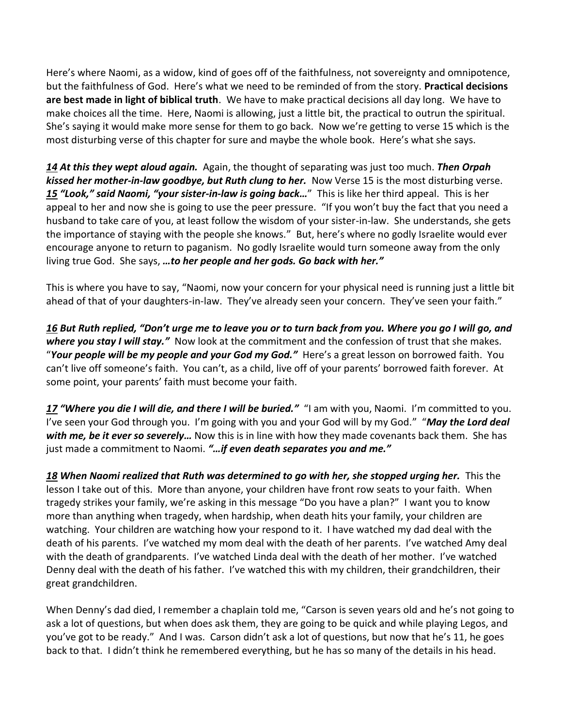Here's where Naomi, as a widow, kind of goes off of the faithfulness, not sovereignty and omnipotence, but the faithfulness of God. Here's what we need to be reminded of from the story. **Practical decisions are best made in light of biblical truth**. We have to make practical decisions all day long. We have to make choices all the time. Here, Naomi is allowing, just a little bit, the practical to outrun the spiritual. She's saying it would make more sense for them to go back. Now we're getting to verse 15 which is the most disturbing verse of this chapter for sure and maybe the whole book. Here's what she says.

*[14](http://www.studylight.org/desk/?q=ru%201:14&t1=en_niv&sr=1) At this they wept aloud again.* Again, the thought of separating was just too much. *Then Orpah kissed her mother-in-law goodbye, but Ruth clung to her.* Now Verse 15 is the most disturbing verse. *[15](http://www.studylight.org/desk/?q=ru%201:15&t1=en_niv&sr=1) "Look," said Naomi, "your sister-in-law is going back…*" This is like her third appeal. This is her appeal to her and now she is going to use the peer pressure. "If you won't buy the fact that you need a husband to take care of you, at least follow the wisdom of your sister-in-law. She understands, she gets the importance of staying with the people she knows." But, here's where no godly Israelite would ever encourage anyone to return to paganism. No godly Israelite would turn someone away from the only living true God. She says, *…to her people and her gods. Go back with her."*

This is where you have to say, "Naomi, now your concern for your physical need is running just a little bit ahead of that of your daughters-in-law. They've already seen your concern. They've seen your faith."

*[16](http://www.studylight.org/desk/?q=ru%201:16&t1=en_niv&sr=1) But Ruth replied, "Don't urge me to leave you or to turn back from you. Where you go I will go, and where you stay I will stay."* Now look at the commitment and the confession of trust that she makes. "*Your people will be my people and your God my God."* Here's a great lesson on borrowed faith. You can't live off someone's faith. You can't, as a child, live off of your parents' borrowed faith forever. At some point, your parents' faith must become your faith.

*[17](http://www.studylight.org/desk/?q=ru%201:17&t1=en_niv&sr=1) "Where you die I will die, and there I will be buried."* "I am with you, Naomi. I'm committed to you. I've seen your God through you. I'm going with you and your God will by my God." "*May the Lord deal with me, be it ever so severely…* Now this is in line with how they made covenants back them. She has just made a commitment to Naomi. *"…if even death separates you and me."* 

*[18](http://www.studylight.org/desk/?q=ru%201:18&t1=en_niv&sr=1) When Naomi realized that Ruth was determined to go with her, she stopped urging her.* This the lesson I take out of this. More than anyone, your children have front row seats to your faith. When tragedy strikes your family, we're asking in this message "Do you have a plan?" I want you to know more than anything when tragedy, when hardship, when death hits your family, your children are watching. Your children are watching how your respond to it. I have watched my dad deal with the death of his parents. I've watched my mom deal with the death of her parents. I've watched Amy deal with the death of grandparents. I've watched Linda deal with the death of her mother. I've watched Denny deal with the death of his father. I've watched this with my children, their grandchildren, their great grandchildren.

When Denny's dad died, I remember a chaplain told me, "Carson is seven years old and he's not going to ask a lot of questions, but when does ask them, they are going to be quick and while playing Legos, and you've got to be ready." And I was. Carson didn't ask a lot of questions, but now that he's 11, he goes back to that. I didn't think he remembered everything, but he has so many of the details in his head.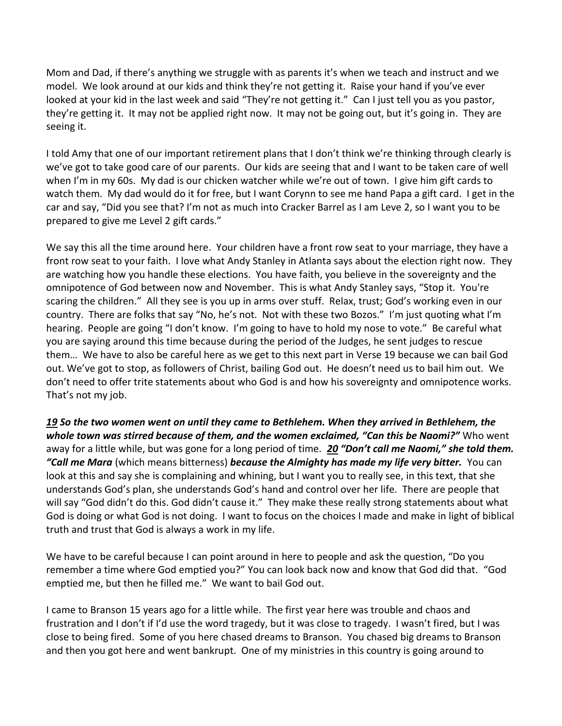Mom and Dad, if there's anything we struggle with as parents it's when we teach and instruct and we model. We look around at our kids and think they're not getting it. Raise your hand if you've ever looked at your kid in the last week and said "They're not getting it." Can I just tell you as you pastor, they're getting it. It may not be applied right now. It may not be going out, but it's going in. They are seeing it.

I told Amy that one of our important retirement plans that I don't think we're thinking through clearly is we've got to take good care of our parents. Our kids are seeing that and I want to be taken care of well when I'm in my 60s. My dad is our chicken watcher while we're out of town. I give him gift cards to watch them. My dad would do it for free, but I want Corynn to see me hand Papa a gift card. I get in the car and say, "Did you see that? I'm not as much into Cracker Barrel as I am Leve 2, so I want you to be prepared to give me Level 2 gift cards."

We say this all the time around here. Your children have a front row seat to your marriage, they have a front row seat to your faith. I love what Andy Stanley in Atlanta says about the election right now. They are watching how you handle these elections. You have faith, you believe in the sovereignty and the omnipotence of God between now and November. This is what Andy Stanley says, "Stop it. You're scaring the children." All they see is you up in arms over stuff. Relax, trust; God's working even in our country. There are folks that say "No, he's not. Not with these two Bozos." I'm just quoting what I'm hearing. People are going "I don't know. I'm going to have to hold my nose to vote." Be careful what you are saying around this time because during the period of the Judges, he sent judges to rescue them… We have to also be careful here as we get to this next part in Verse 19 because we can bail God out. We've got to stop, as followers of Christ, bailing God out. He doesn't need us to bail him out. We don't need to offer trite statements about who God is and how his sovereignty and omnipotence works. That's not my job.

*[19](http://www.studylight.org/desk/?q=ru%201:19&t1=en_niv&sr=1) So the two women went on until they came to Bethlehem. When they arrived in Bethlehem, the whole town was stirred because of them, and the women exclaimed, "Can this be Naomi?"* Who went away for a little while, but was gone for a long period of time. *[20](http://www.studylight.org/desk/?q=ru%201:20&t1=en_niv&sr=1) "Don't call me Naomi," she told them. "Call me Mara* (which means bitterness) *because the Almighty has made my life very bitter.* You can look at this and say she is complaining and whining, but I want you to really see, in this text, that she understands God's plan, she understands God's hand and control over her life. There are people that will say "God didn't do this. God didn't cause it." They make these really strong statements about what God is doing or what God is not doing. I want to focus on the choices I made and make in light of biblical truth and trust that God is always a work in my life.

We have to be careful because I can point around in here to people and ask the question, "Do you remember a time where God emptied you?" You can look back now and know that God did that. "God emptied me, but then he filled me." We want to bail God out.

I came to Branson 15 years ago for a little while. The first year here was trouble and chaos and frustration and I don't if I'd use the word tragedy, but it was close to tragedy. I wasn't fired, but I was close to being fired. Some of you here chased dreams to Branson. You chased big dreams to Branson and then you got here and went bankrupt. One of my ministries in this country is going around to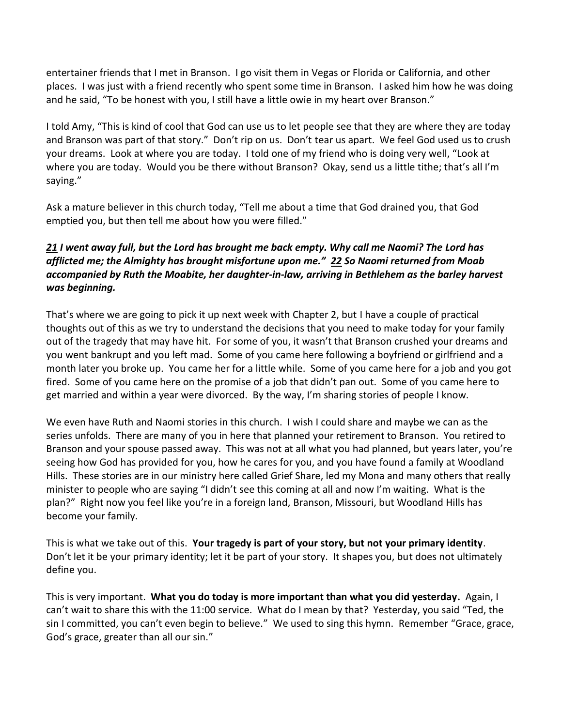entertainer friends that I met in Branson. I go visit them in Vegas or Florida or California, and other places. I was just with a friend recently who spent some time in Branson. I asked him how he was doing and he said, "To be honest with you, I still have a little owie in my heart over Branson."

I told Amy, "This is kind of cool that God can use us to let people see that they are where they are today and Branson was part of that story." Don't rip on us. Don't tear us apart. We feel God used us to crush your dreams. Look at where you are today. I told one of my friend who is doing very well, "Look at where you are today. Would you be there without Branson? Okay, send us a little tithe; that's all I'm saying."

Ask a mature believer in this church today, "Tell me about a time that God drained you, that God emptied you, but then tell me about how you were filled."

## *[21](http://www.studylight.org/desk/?q=ru%201:21&t1=en_niv&sr=1) I went away full, but the Lord has brought me back empty. Why call me Naomi? The Lord has afflicted me; the Almighty has brought misfortune upon me." [22](http://www.studylight.org/desk/?q=ru%201:22&t1=en_niv&sr=1) So Naomi returned from Moab accompanied by Ruth the Moabite, her daughter-in-law, arriving in Bethlehem as the barley harvest was beginning.*

That's where we are going to pick it up next week with Chapter 2, but I have a couple of practical thoughts out of this as we try to understand the decisions that you need to make today for your family out of the tragedy that may have hit. For some of you, it wasn't that Branson crushed your dreams and you went bankrupt and you left mad. Some of you came here following a boyfriend or girlfriend and a month later you broke up. You came her for a little while. Some of you came here for a job and you got fired. Some of you came here on the promise of a job that didn't pan out. Some of you came here to get married and within a year were divorced. By the way, I'm sharing stories of people I know.

We even have Ruth and Naomi stories in this church. I wish I could share and maybe we can as the series unfolds. There are many of you in here that planned your retirement to Branson. You retired to Branson and your spouse passed away. This was not at all what you had planned, but years later, you're seeing how God has provided for you, how he cares for you, and you have found a family at Woodland Hills. These stories are in our ministry here called Grief Share, led my Mona and many others that really minister to people who are saying "I didn't see this coming at all and now I'm waiting. What is the plan?" Right now you feel like you're in a foreign land, Branson, Missouri, but Woodland Hills has become your family.

This is what we take out of this. **Your tragedy is part of your story, but not your primary identity**. Don't let it be your primary identity; let it be part of your story. It shapes you, but does not ultimately define you.

This is very important. **What you do today is more important than what you did yesterday.** Again, I can't wait to share this with the 11:00 service. What do I mean by that? Yesterday, you said "Ted, the sin I committed, you can't even begin to believe." We used to sing this hymn. Remember "Grace, grace, God's grace, greater than all our sin."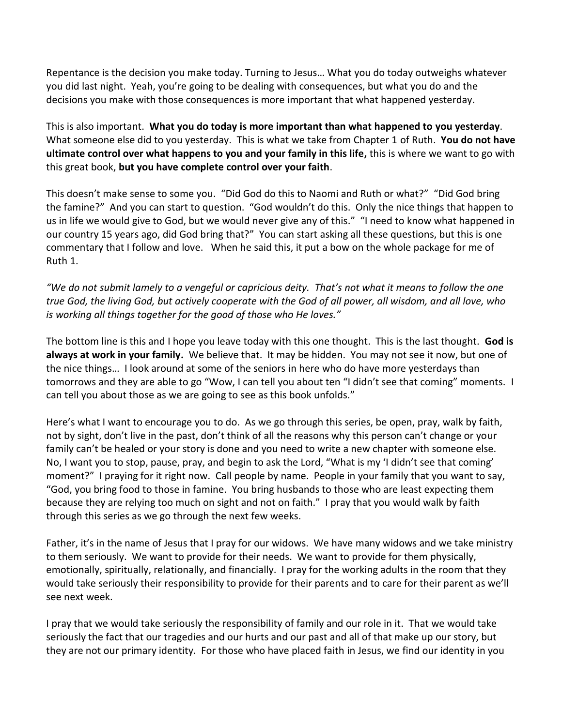Repentance is the decision you make today. Turning to Jesus… What you do today outweighs whatever you did last night. Yeah, you're going to be dealing with consequences, but what you do and the decisions you make with those consequences is more important that what happened yesterday.

This is also important. **What you do today is more important than what happened to you yesterday**. What someone else did to you yesterday. This is what we take from Chapter 1 of Ruth. **You do not have ultimate control over what happens to you and your family in this life,** this is where we want to go with this great book, **but you have complete control over your faith**.

This doesn't make sense to some you. "Did God do this to Naomi and Ruth or what?" "Did God bring the famine?" And you can start to question. "God wouldn't do this. Only the nice things that happen to us in life we would give to God, but we would never give any of this." "I need to know what happened in our country 15 years ago, did God bring that?" You can start asking all these questions, but this is one commentary that I follow and love. When he said this, it put a bow on the whole package for me of Ruth 1.

*"We do not submit lamely to a vengeful or capricious deity. That's not what it means to follow the one true God, the living God, but actively cooperate with the God of all power, all wisdom, and all love, who is working all things together for the good of those who He loves."*

The bottom line is this and I hope you leave today with this one thought. This is the last thought. **God is always at work in your family.** We believe that. It may be hidden. You may not see it now, but one of the nice things… I look around at some of the seniors in here who do have more yesterdays than tomorrows and they are able to go "Wow, I can tell you about ten "I didn't see that coming" moments. I can tell you about those as we are going to see as this book unfolds."

Here's what I want to encourage you to do. As we go through this series, be open, pray, walk by faith, not by sight, don't live in the past, don't think of all the reasons why this person can't change or your family can't be healed or your story is done and you need to write a new chapter with someone else. No, I want you to stop, pause, pray, and begin to ask the Lord, "What is my 'I didn't see that coming' moment?" I praying for it right now. Call people by name. People in your family that you want to say, "God, you bring food to those in famine. You bring husbands to those who are least expecting them because they are relying too much on sight and not on faith." I pray that you would walk by faith through this series as we go through the next few weeks.

Father, it's in the name of Jesus that I pray for our widows. We have many widows and we take ministry to them seriously. We want to provide for their needs. We want to provide for them physically, emotionally, spiritually, relationally, and financially. I pray for the working adults in the room that they would take seriously their responsibility to provide for their parents and to care for their parent as we'll see next week.

I pray that we would take seriously the responsibility of family and our role in it. That we would take seriously the fact that our tragedies and our hurts and our past and all of that make up our story, but they are not our primary identity. For those who have placed faith in Jesus, we find our identity in you